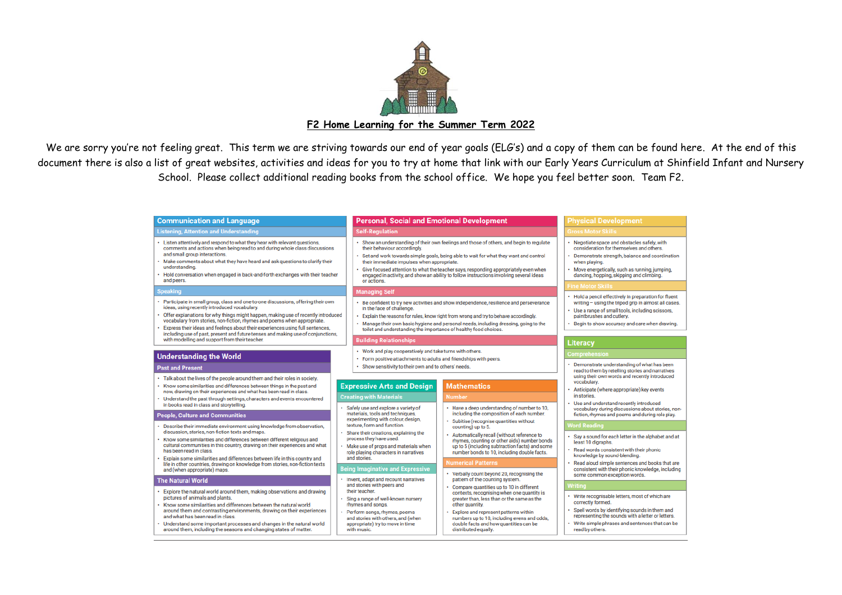

We are sorry you're not feeling great. This term we are striving towards our end of year goals (ELG's) and a copy of them can be found here. At the end of this document there is also a list of great websites, activities and ideas for you to try at home that link with our Early Years Curriculum at Shinfield Infant and Nursery School. Please collect additional reading books from the school office. We hope you feel better soon. Team F2.

#### **Communication and Language Personal, Social and Emotional Development** Listening, Attention and Understanding alf-Regulation Listen attentively and respond to what they hear with relevant questions. comments and actions when being read to and during whole class discussions their behaviour accordingly and small group interactions Make comments about what they have heard and ask questions to clarify their understanding

Hold conversation when engaged in back-and-forth exchanges with their teacher and peers.

### peaking

- Participate in small group, class and one-to-one discussions, offering their own ideas, using recently introduced vocabulary.
- Offer explanations for why things might happen, making use of recently introduced vocabulary from stories, non-fiction, rhymes and poems when appropriate.
- Express their ideas and feelings about their experiences using full sentences, including use of past, present and future tenses and making use of conjunctions. with modelling and support from their teacher.

## **Understanding the World**

## **Past and Present**

- Talk about the lives of the people around them and their roles in society.
- Know some similarities and differences between things in the past and
- now, drawing on their experiences and what has been read in class. Understand the past through settings, characters and events encountered in books read in class and storytelling.

### **People, Culture and Communities**

- Describe their immediate environment using knowledge from observation, discussion, stories, non-fiction texts and maps.
- Know some similarities and differences between different religious and cultural communities in this country, drawing on their experiences and what has been read in class
- Explain some similarities and differences between life in this country and life in other countries, drawing on knowledge from stories, non-fiction texts and (when appropriate) maps.

### **The Natural World**

- Explore the natural world around them, making observations and drawing pictures of animals and plants.
- .<br>Know some similarities and differences between the natural world around them and contrasting environments, drawing on their experiences and what has been read in class.
- Understand some important processes and changes in the natural world around them, including the seasons and changing states of matter.

- Show an understanding of their own feelings and those of others, and begin to regulate
- Set and work towards simple goals, being able to wait for what they want and control their immediate impulses when appropriate
- Give focused attention to what the teacher says, responding appropriately even when engaged in activity, and show an ability to follow instructions involving several ideas or actions

### Managing Self

- Be confident to try new activities and show independence, resilience and perseverance in the face of challenge
- Explain the reasons for rules, know right from wrong and try to behave accordingly.

rhymes, counting or other aids) number bonds

up to 5 (including subtraction facts) and some

number bonds to 10, including double facts.

Verbally count beyond 20, recognising the

Compare quantities up to 10 in different

Explore and represent patterns within

double facts and how quantities can be

contexts, recognising when one quantity is

greater than, less than or the same as the

numbers up to 10, including evens and odds,

pattern of the counting system

**Jumerical Pattern** 

other quantity.

distributed equally.

Manage their own basic hygiene and personal needs, including dressing, going to the toilet and understanding the importance of healthy food choices.

# **Building Relationships**

- Work and play cooperatively and take turns with others.
- · Form positive attachments to adults and friendships with peers.
- Show sensitivity to their own and to others' needs

#### **Expressive Arts and Design Mathematics Creating with Materials**

- Safely use and explore a variety of Have a deep understanding of number to 10. materials, tools and techniques, including the composition of each number. experimenting with colour, design, Subitise (recognise quantities without
- texture, form and function. counting) up to 5. Share their creations, explaining the Automatically recall (without reference to
- process they have used. Make use of props and materials when
- role playing characters in narratives and stories

### a Imaginative and Expressive

with mucic

- Invent, adapt and recount narratives and stories with peers and their teacher.
- Sing a range of well-known nursery rhymes and songs.
- Perform songs, rhymes, poems and stories with others, and (when appropriate) try to move in time

# hysical Development

- Negotiate space and obstacles safely, with consideration for themselves and others.
- Demonstrate strength, balance and coordination
- when playing Move energetically, such as running, jumping,
- dancing, hopping, skipping and climbing.

- Hold a pencil effectively in preparation for fluent writing - using the tripod grip in almost all cases.
- Use a range of small tools, including scissors. paintbrushes and cutlery.
- Begin to show accuracy and care when drawing.

# Literacy

# mpreh

- Demonstrate understanding of what has been read to them by retelling stories and narratives using their own words and recently introduced vocabulary
- Anticipate (where appropriate) key events in stories.
- Use and understand recently introduced vocabulary during discussions about stories, nonfiction, rhymes and poems and during role play.

- Say a sound for each letter in the alphabet and at least 10 digraphs.
- Read words consistent with their phonic knowledge by sound-blending
- Read aloud simple sentences and books that are consistent with their phonic knowledge, including some common exception words.

- Write recognisable letters, most of which are correctly formed
- Spell words by identifying sounds in them and representing the sounds with a letter or letters.
- Write simple phrases and sentences that can be read by others.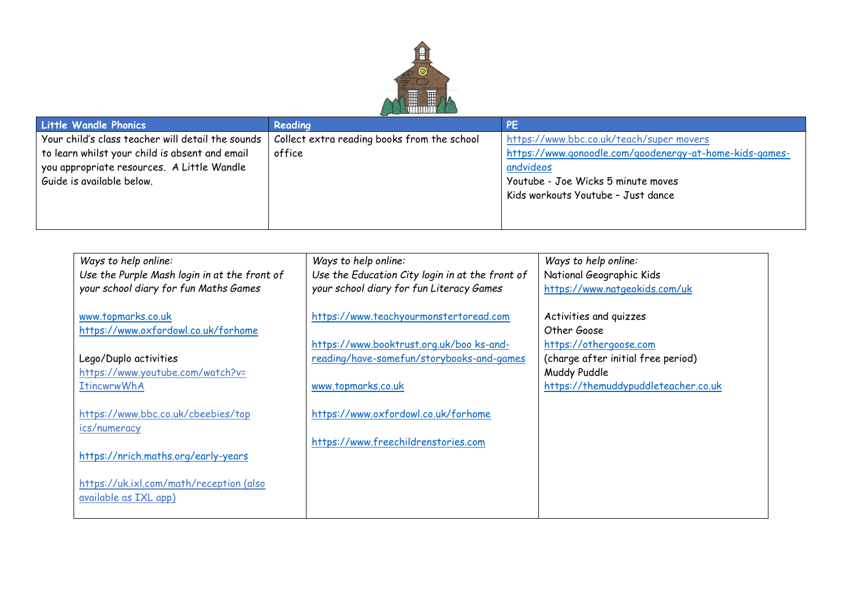

| Little Wandle Phonics                             | <b>Reading</b>                              | PE                                                      |
|---------------------------------------------------|---------------------------------------------|---------------------------------------------------------|
| Your child's class teacher will detail the sounds | Collect extra reading books from the school | https://www.bbc.co.uk/teach/super movers                |
| to learn whilst your child is absent and email    | office                                      | https://www.gonoodle.com/goodenergy-at-home-kids-games- |
| you appropriate resources. A Little Wandle        |                                             | andvideos                                               |
| Guide is available below.                         |                                             | Youtube - Joe Wicks 5 minute moves                      |
|                                                   |                                             | Kids workouts Youtube - Just dance                      |
|                                                   |                                             |                                                         |
|                                                   |                                             |                                                         |

| Ways to help online:<br>Use the Purple Mash login in at the front of<br>your school diary for fun Maths Games | Ways to help online:<br>Use the Education City login in at the front of<br>your school diary for fun Literacy Games | Ways to help online:<br>National Geographic Kids<br>https://www.natgeokids.com/uk         |
|---------------------------------------------------------------------------------------------------------------|---------------------------------------------------------------------------------------------------------------------|-------------------------------------------------------------------------------------------|
| www.topmarks.co.uk<br>https://www.oxfordowl.co.uk/forhome                                                     | https://www.teachyourmonstertoread.com<br>https://www.booktrust.org.uk/boo ks-and-                                  | Activities and quizzes<br>Other Goose<br>https://othergoose.com                           |
| Lego/Duplo activities<br>https://www.youtube.com/watch?v=<br><b>ItincwrwWhA</b>                               | reading/have-somefun/storybooks-and-games<br>www.topmarks.co.uk                                                     | (charge after initial free period)<br>Muddy Puddle<br>https://themuddypuddleteacher.co.uk |
| https://www.bbc.co.uk/cbeebies/top<br>ics/numeracy                                                            | https://www.oxfordowl.co.uk/forhome<br>https://www.freechildrenstories.com                                          |                                                                                           |
| https://nrich.maths.org/early-years<br>https://uk.ixl.com/math/reception (also<br>available as IXL app)       |                                                                                                                     |                                                                                           |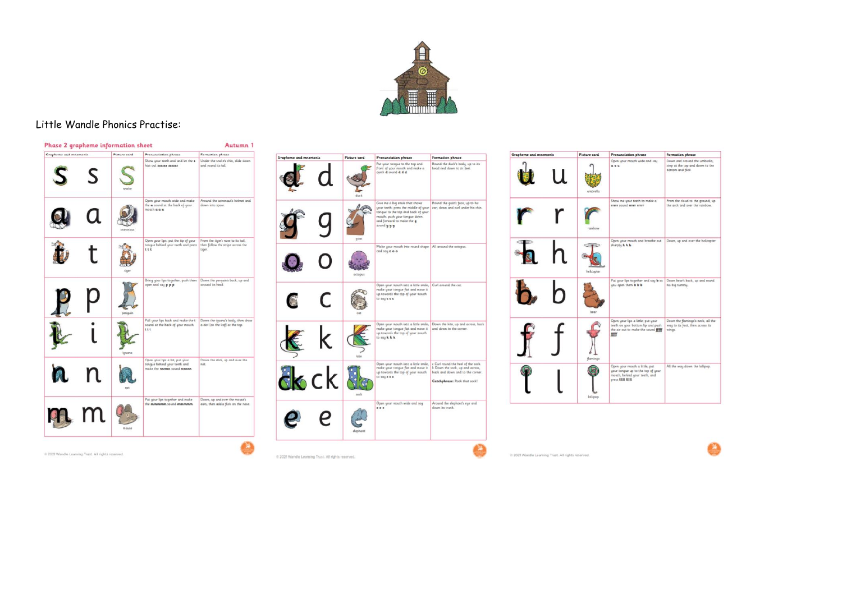

# Little Wandle Phonics Practise:

| Grapheme and mnemonic | <b>Picture card</b> | Pronunciation phrase                                                                          | Formation phrase                                                                  |
|-----------------------|---------------------|-----------------------------------------------------------------------------------------------|-----------------------------------------------------------------------------------|
|                       |                     | Show your teeth and and let the s<br>hiss out ssssss ssssss                                   | Under the snake's chin, slide down.<br>and round its tail.                        |
|                       | astrongut           | Open your mouth wide and make<br>the a sound at the back of your<br>mouth a a a               | Around the astronaut's helmet and<br>down into space.                             |
|                       | tiger               | Open your lips; put the tip of your<br>tonque behind your teeth and press<br>ttt              | From the tiger's nose to its tail,<br>then follow the stripe across the<br>tiger. |
|                       | penguin             | Bring your lips together, push them<br>open and say p p p                                     | Down the penguin's back, up and<br>around its head                                |
|                       | iquana              | Pull your lips back and make the L<br>sound at the back of your mouth<br>111                  | Down the iquana's body, then draw<br>a dot (on the leaf) at the top.              |
|                       | net                 | Open your lips a bit, put your<br>tongue behind your teeth and<br>make the nanna sound nanna. | Down the stick, up and over the<br>net.                                           |
|                       | mouse               | Put your lips together and make<br>the mmmmm sound mmmmm.                                     | Down, up and over the mouse's<br>ears, then add a flick on the nose.              |



| Grapheme and mnemonic | Picture card     | Pronunciation phrase                                                                                                     | Formation phrase                                                                     |
|-----------------------|------------------|--------------------------------------------------------------------------------------------------------------------------|--------------------------------------------------------------------------------------|
|                       | umhrello         | Open your mouth wide and say<br>uuu                                                                                      | Down and around the umbrella,<br>stop at the top and down to the<br>bottom and flick |
|                       | rainbow          | Show me your teeth to make a<br>evere sound verre cerre                                                                  | From the cloud to the ground, up<br>the arch and over the rainbow.                   |
|                       | 57<br>helicopter | Open your mouth and breathe out.<br>sharply h h h                                                                        | Down, up and over the helicopter                                                     |
|                       | bear             | Put your lips together and say b as<br>you open them <b>b b b</b>                                                        | Down bear's back, up and round<br>his big tummy.                                     |
|                       | flamingo         | Open your lips a little; put your<br>teeth on your bottom lip and push<br>the air out to make the sound fifff<br>fffff   | Down the flamingo's neck, all the<br>way to its foot, then across its<br>wings.      |
|                       | lollipop         | Open your mouth a little; put<br>your tonque up to the top of your<br>mouth, behind your teeth, and<br>press IIIII IIIII | All the way down the lollipop.                                                       |

 $\triangle$ 

D 2021 Wandle Learning Trust. All rights reserved.